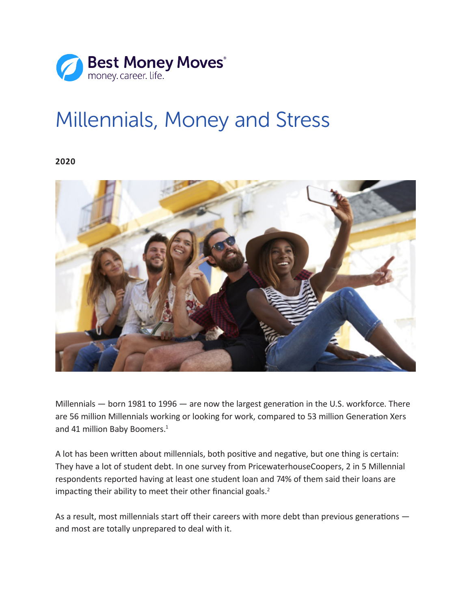

# Millennials, Money and Stress

**2020**



Millennials — born 1981 to 1996 — are now the largest generation in the U.S. workforce. There are 56 million Millennials working or looking for work, compared to 53 million Generation Xers and 41 million Baby Boomers.<sup>1</sup>

A lot has been written about millennials, both positive and negative, but one thing is certain: They have a lot of student debt. In one survey from PricewaterhouseCoopers, 2 in 5 Millennial respondents reported having at least one student loan and 74% of them said their loans are impacting their ability to meet their other financial goals.<sup>2</sup>

As a result, most millennials start off their careers with more debt than previous generations and most are totally unprepared to deal with it.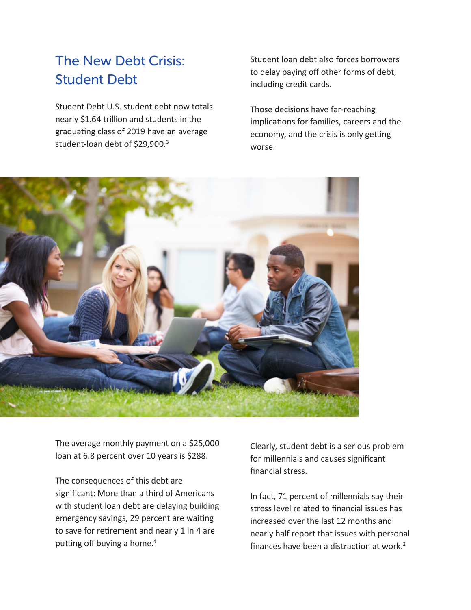## The New Debt Crisis: Student Debt

Student Debt U.S. student debt now totals nearly \$1.64 trillion and students in the graduating class of 2019 have an average student-loan debt of \$29,900.<sup>3</sup>

Student loan debt also forces borrowers to delay paying off other forms of debt, including credit cards.

Those decisions have far-reaching implications for families, careers and the economy, and the crisis is only getting worse.



The average monthly payment on a \$25,000 loan at 6.8 percent over 10 years is \$288.

The consequences of this debt are significant: More than a third of Americans with student loan debt are delaying building emergency savings, 29 percent are waiting to save for retirement and nearly 1 in 4 are putting off buying a home.4

Clearly, student debt is a serious problem for millennials and causes significant financial stress.

In fact, 71 percent of millennials say their stress level related to financial issues has increased over the last 12 months and nearly half report that issues with personal finances have been a distraction at work.<sup>2</sup>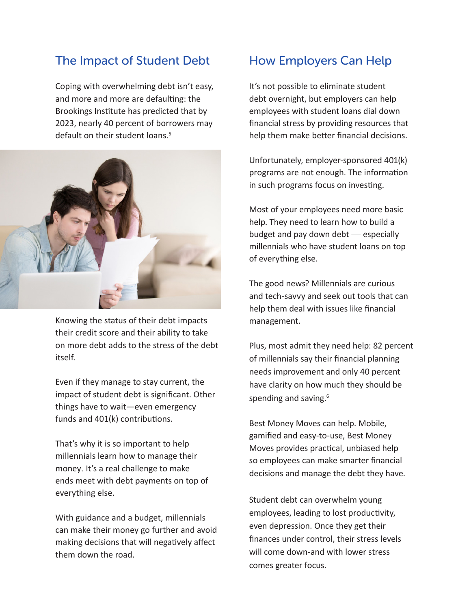#### The Impact of Student Debt

Coping with overwhelming debt isn't easy, and more and more are defaulting: the Brookings Institute has predicted that by 2023, nearly 40 percent of borrowers may default on their student loans.<sup>5</sup>



Knowing the status of their debt impacts their credit score and their ability to take on more debt adds to the stress of the debt itself.

Even if they manage to stay current, the impact of student debt is significant. Other things have to wait—even emergency funds and 401(k) contributions.

That's why it is so important to help millennials learn how to manage their money. It's a real challenge to make ends meet with debt payments on top of everything else.

With guidance and a budget, millennials can make their money go further and avoid making decisions that will negatively affect them down the road.

#### How Employers Can Help

It's not possible to eliminate student debt overnight, but employers can help employees with student loans dial down financial stress by providing resources that help them make better financial decisions.

Unfortunately, employer-sponsored 401(k) programs are not enough. The information in such programs focus on investing.

Most of your employees need more basic help. They need to learn how to build a budget and pay down debt — especially millennials who have student loans on top of everything else.

The good news? Millennials are curious and tech-savvy and seek out tools that can help them deal with issues like financial management.

Plus, most admit they need help: 82 percent of millennials say their financial planning needs improvement and only 40 percent have clarity on how much they should be spending and saving.<sup>6</sup>

Best Money Moves can help. Mobile, gamified and easy-to-use, Best Money Moves provides practical, unbiased help so employees can make smarter financial decisions and manage the debt they have.

Student debt can overwhelm young employees, leading to lost productivity, even depression. Once they get their finances under control, their stress levels will come down-and with lower stress comes greater focus.